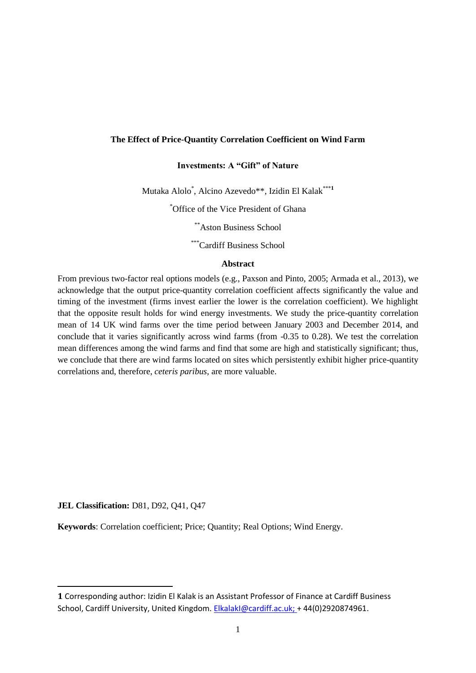## **The Effect of Price-Quantity Correlation Coefficient on Wind Farm**

# **Investments: A "Gift" of Nature**

Mutaka Alolo\* , Alcino Azevedo\*\*, Izidin El Kalak\*\*\***<sup>1</sup>**

\*Office of the Vice President of Ghana

\*\*Aston Business School

\*\*\*Cardiff Business School

## **Abstract**

From previous two-factor real options models (e.g., Paxson and Pinto, 2005; Armada et al., 2013), we acknowledge that the output price-quantity correlation coefficient affects significantly the value and timing of the investment (firms invest earlier the lower is the correlation coefficient). We highlight that the opposite result holds for wind energy investments. We study the price-quantity correlation mean of 14 UK wind farms over the time period between January 2003 and December 2014, and conclude that it varies significantly across wind farms (from -0.35 to 0.28). We test the correlation mean differences among the wind farms and find that some are high and statistically significant; thus, we conclude that there are wind farms located on sites which persistently exhibit higher price-quantity correlations and, therefore, *ceteris paribus*, are more valuable.

**JEL Classification:** D81, D92, Q41, Q47

1

**Keywords**: Correlation coefficient; Price; Quantity; Real Options; Wind Energy.

**<sup>1</sup>** Corresponding author: Izidin El Kalak is an Assistant Professor of Finance at Cardiff Business School, Cardiff University, United Kingdom. [ElkalakI@cardiff.ac.uk;](mailto:ElkalakI@cardiff.ac.uk) + [44\(0\)2920874961.](tel:+44(0)2920874961)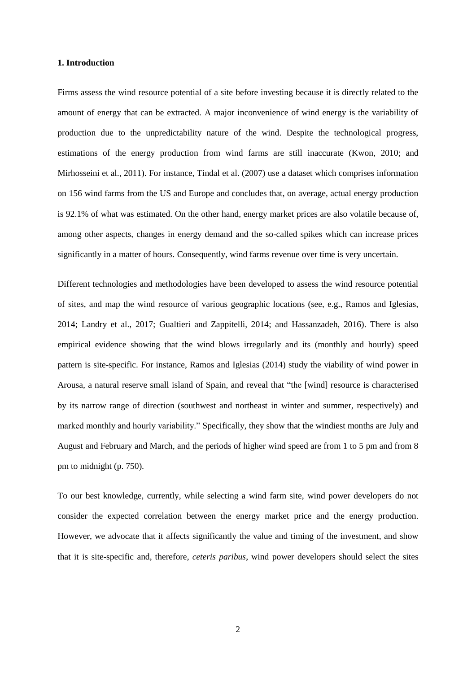### **1. Introduction**

Firms assess the wind resource potential of a site before investing because it is directly related to the amount of energy that can be extracted. A major inconvenience of wind energy is the variability of production due to the unpredictability nature of the wind. Despite the technological progress, estimations of the energy production from wind farms are still inaccurate (Kwon, 2010; and Mirhosseini et al., 2011). For instance, Tindal et al. (2007) use a dataset which comprises information on 156 wind farms from the US and Europe and concludes that, on average, actual energy production is 92.1% of what was estimated. On the other hand, energy market prices are also volatile because of, among other aspects, changes in energy demand and the so-called spikes which can increase prices significantly in a matter of hours. Consequently, wind farms revenue over time is very uncertain.

Different technologies and methodologies have been developed to assess the wind resource potential of sites, and map the wind resource of various geographic locations (see, e.g., Ramos and Iglesias, 2014; Landry et al., 2017; Gualtieri and Zappitelli, 2014; and Hassanzadeh, 2016). There is also empirical evidence showing that the wind blows irregularly and its (monthly and hourly) speed pattern is site-specific. For instance, Ramos and Iglesias (2014) study the viability of wind power in Arousa, a natural reserve small island of Spain, and reveal that "the [wind] resource is characterised by its narrow range of direction (southwest and northeast in winter and summer, respectively) and marked monthly and hourly variability." Specifically, they show that the windiest months are July and August and February and March, and the periods of higher wind speed are from 1 to 5 pm and from 8 pm to midnight (p. 750).

To our best knowledge, currently, while selecting a wind farm site, wind power developers do not consider the expected correlation between the energy market price and the energy production. However, we advocate that it affects significantly the value and timing of the investment, and show that it is site-specific and, therefore, *ceteris paribus*, wind power developers should select the sites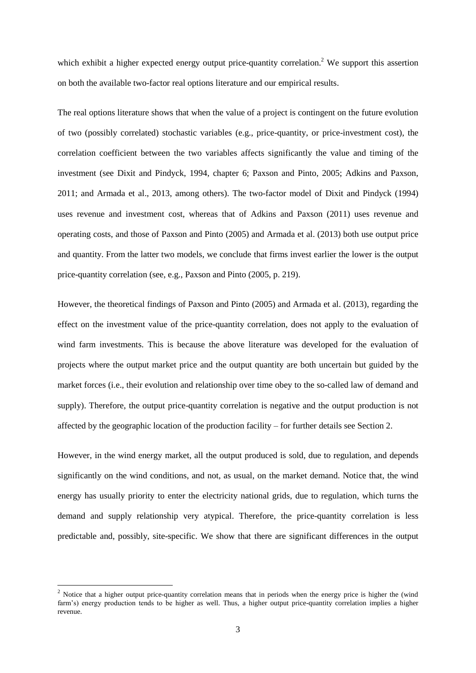which exhibit a higher expected energy output price-quantity correlation.<sup>2</sup> We support this assertion on both the available two-factor real options literature and our empirical results.

The real options literature shows that when the value of a project is contingent on the future evolution of two (possibly correlated) stochastic variables (e.g., price-quantity, or price-investment cost), the correlation coefficient between the two variables affects significantly the value and timing of the investment (see Dixit and Pindyck, 1994, chapter 6; Paxson and Pinto, 2005; Adkins and Paxson, 2011; and Armada et al., 2013, among others). The two-factor model of Dixit and Pindyck (1994) uses revenue and investment cost, whereas that of Adkins and Paxson (2011) uses revenue and operating costs, and those of Paxson and Pinto (2005) and Armada et al. (2013) both use output price and quantity. From the latter two models, we conclude that firms invest earlier the lower is the output price-quantity correlation (see, e.g., Paxson and Pinto (2005, p. 219).

However, the theoretical findings of Paxson and Pinto (2005) and Armada et al. (2013), regarding the effect on the investment value of the price-quantity correlation, does not apply to the evaluation of wind farm investments. This is because the above literature was developed for the evaluation of projects where the output market price and the output quantity are both uncertain but guided by the market forces (i.e., their evolution and relationship over time obey to the so-called law of demand and supply). Therefore, the output price-quantity correlation is negative and the output production is not affected by the geographic location of the production facility – for further details see Section 2.

However, in the wind energy market, all the output produced is sold, due to regulation, and depends significantly on the wind conditions, and not, as usual, on the market demand. Notice that, the wind energy has usually priority to enter the electricity national grids, due to regulation, which turns the demand and supply relationship very atypical. Therefore, the price-quantity correlation is less predictable and, possibly, site-specific. We show that there are significant differences in the output

**.** 

<sup>&</sup>lt;sup>2</sup> Notice that a higher output price-quantity correlation means that in periods when the energy price is higher the (wind farm's) energy production tends to be higher as well. Thus, a higher output price-quantity correlation implies a higher revenue.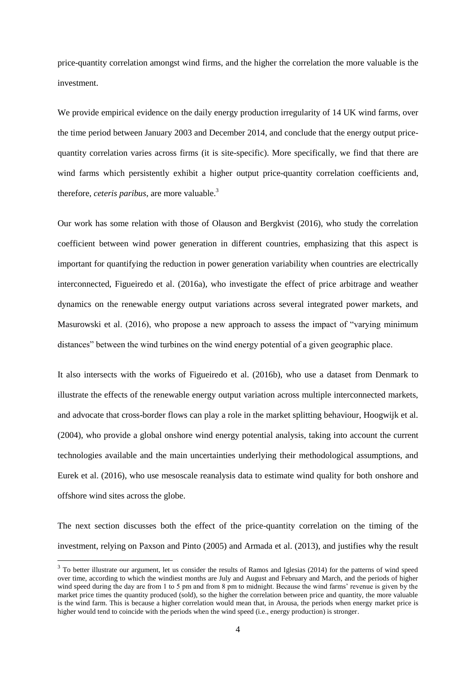price-quantity correlation amongst wind firms, and the higher the correlation the more valuable is the investment.

We provide empirical evidence on the daily energy production irregularity of 14 UK wind farms, over the time period between January 2003 and December 2014, and conclude that the energy output pricequantity correlation varies across firms (it is site-specific). More specifically, we find that there are wind farms which persistently exhibit a higher output price-quantity correlation coefficients and, therefore, *ceteris paribus*, are more valuable. 3

Our work has some relation with those of Olauson and Bergkvist (2016), who study the correlation coefficient between wind power generation in different countries, emphasizing that this aspect is important for quantifying the reduction in power generation variability when countries are electrically interconnected, Figueiredo et al. (2016a), who investigate the effect of price arbitrage and weather dynamics on the renewable energy output variations across several integrated power markets, and Masurowski et al. (2016), who propose a new approach to assess the impact of "varying minimum distances" between the wind turbines on the wind energy potential of a given geographic place.

It also intersects with the works of Figueiredo et al. (2016b), who use a dataset from Denmark to illustrate the effects of the renewable energy output variation across multiple interconnected markets, and advocate that cross-border flows can play a role in the market splitting behaviour, Hoogwijk et al. (2004), who provide a global onshore wind energy potential analysis, taking into account the current technologies available and the main uncertainties underlying their methodological assumptions, and Eurek et al. (2016), who use mesoscale reanalysis data to estimate wind quality for both onshore and offshore wind sites across the globe.

The next section discusses both the effect of the price-quantity correlation on the timing of the investment, relying on Paxson and Pinto (2005) and Armada et al. (2013), and justifies why the result

**.** 

 $3$  To better illustrate our argument, let us consider the results of Ramos and Iglesias (2014) for the patterns of wind speed over time, according to which the windiest months are July and August and February and March, and the periods of higher wind speed during the day are from 1 to 5 pm and from 8 pm to midnight. Because the wind farms' revenue is given by the market price times the quantity produced (sold), so the higher the correlation between price and quantity, the more valuable is the wind farm. This is because a higher correlation would mean that, in Arousa, the periods when energy market price is higher would tend to coincide with the periods when the wind speed (i.e., energy production) is stronger.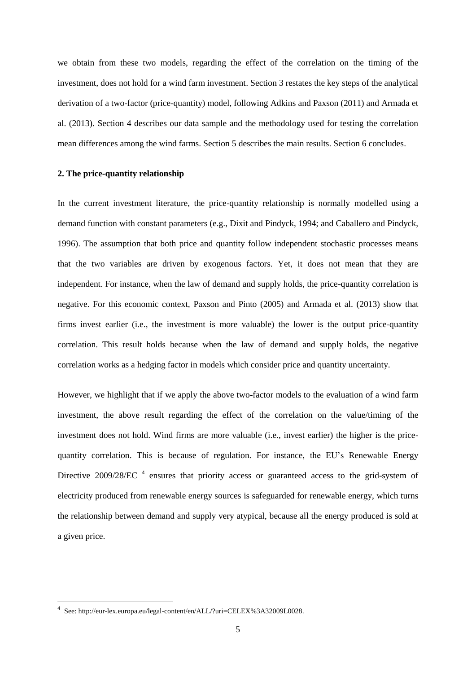we obtain from these two models, regarding the effect of the correlation on the timing of the investment, does not hold for a wind farm investment. Section 3 restates the key steps of the analytical derivation of a two-factor (price-quantity) model, following Adkins and Paxson (2011) and Armada et al. (2013). Section 4 describes our data sample and the methodology used for testing the correlation mean differences among the wind farms. Section 5 describes the main results. Section 6 concludes.

## **2. The price-quantity relationship**

In the current investment literature, the price-quantity relationship is normally modelled using a demand function with constant parameters (e.g., Dixit and Pindyck, 1994; and Caballero and Pindyck, 1996). The assumption that both price and quantity follow independent stochastic processes means that the two variables are driven by exogenous factors. Yet, it does not mean that they are independent. For instance, when the law of demand and supply holds, the price-quantity correlation is negative. For this economic context, Paxson and Pinto (2005) and Armada et al. (2013) show that firms invest earlier (i.e., the investment is more valuable) the lower is the output price-quantity correlation. This result holds because when the law of demand and supply holds, the negative correlation works as a hedging factor in models which consider price and quantity uncertainty.

However, we highlight that if we apply the above two-factor models to the evaluation of a wind farm investment, the above result regarding the effect of the correlation on the value/timing of the investment does not hold. Wind firms are more valuable (i.e., invest earlier) the higher is the pricequantity correlation. This is because of regulation. For instance, the EU's Renewable Energy Directive 2009/28/EC  $^4$  ensures that priority access or guaranteed access to the grid-system of electricity produced from renewable energy sources is safeguarded for renewable energy, which turns the relationship between demand and supply very atypical, because all the energy produced is sold at a given price.

 4 See: http://eur-lex.europa.eu/legal-content/en/ALL/?uri=CELEX%3A32009L0028.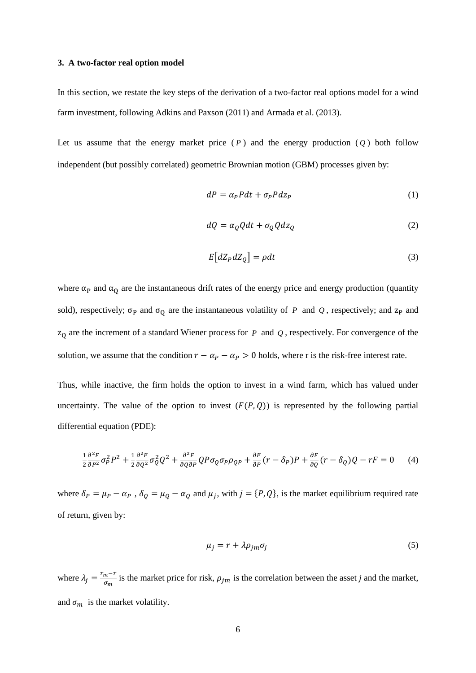### **3. A two-factor real option model**

In this section, we restate the key steps of the derivation of a two-factor real options model for a wind farm investment, following Adkins and Paxson (2011) and Armada et al. (2013).

Let us assume that the energy market price  $(P)$  and the energy production  $(Q)$  both follow independent (but possibly correlated) geometric Brownian motion (GBM) processes given by:

$$
dP = \alpha_P P dt + \sigma_P P dz_P \tag{1}
$$

$$
dQ = \alpha_Q Q dt + \sigma_Q Q dz_Q \tag{2}
$$

$$
E\big[dZ_p dZ_q\big] = \rho dt\tag{3}
$$

where  $\alpha_P$  and  $\alpha_Q$  are the instantaneous drift rates of the energy price and energy production (quantity sold), respectively;  $\sigma_{\rm P}$  and  $\sigma_{\rm Q}$  are the instantaneous volatility of P and Q, respectively; and  $z_{\rm P}$  and  $z_0$  are the increment of a standard Wiener process for P and Q, respectively. For convergence of the solution, we assume that the condition  $r - \alpha_p - \alpha_p > 0$  holds, where r is the risk-free interest rate.

Thus, while inactive, the firm holds the option to invest in a wind farm, which has valued under uncertainty. The value of the option to invest  $(F(P, Q))$  is represented by the following partial differential equation (PDE):

$$
\frac{1}{2}\frac{\partial^2 F}{\partial P^2}\sigma_P^2 P^2 + \frac{1}{2}\frac{\partial^2 F}{\partial Q^2}\sigma_Q^2 Q^2 + \frac{\partial^2 F}{\partial Q \partial P}QP\sigma_Q \sigma_P \rho_{QP} + \frac{\partial F}{\partial P}(r - \delta_P)P + \frac{\partial F}{\partial Q}(r - \delta_Q)Q - rF = 0 \tag{4}
$$

where  $\delta_p = \mu_p - \alpha_p$ ,  $\delta_0 = \mu_0 - \alpha_o$  and  $\mu_i$ , with  $j = \{P, Q\}$ , is the market equilibrium required rate of return, given by:

$$
\mu_j = r + \lambda \rho_{jm} \sigma_j \tag{5}
$$

where  $\lambda_i = \frac{r_i}{r_i}$  $\frac{m^{-1}}{\sigma_m}$  is the market price for risk,  $\rho_{jm}$  is the correlation between the asset *j* and the market, and  $\sigma_m$  is the market volatility.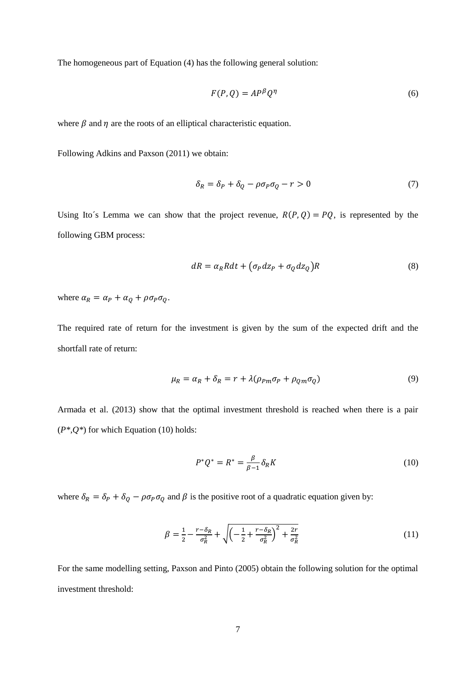The homogeneous part of Equation (4) has the following general solution:

$$
F(P,Q) = AP^{\beta}Q^{\eta}
$$
 (6)

where  $\beta$  and  $\eta$  are the roots of an elliptical characteristic equation.

Following Adkins and Paxson (2011) we obtain:

$$
\delta_R = \delta_P + \delta_Q - \rho \sigma_P \sigma_Q - r > 0 \tag{7}
$$

Using Ito's Lemma we can show that the project revenue,  $R(P, Q) = PQ$ , is represented by the following GBM process:

$$
dR = \alpha_R R dt + (\sigma_P dz_P + \sigma_Q dz_Q)R
$$
\n(8)

where  $\alpha_R = \alpha_P + \alpha_Q + \rho \sigma_P \sigma_Q$ .

The required rate of return for the investment is given by the sum of the expected drift and the shortfall rate of return:

$$
\mu_R = \alpha_R + \delta_R = r + \lambda(\rho_{Pm}\sigma_P + \rho_{Qm}\sigma_Q) \tag{9}
$$

Armada et al. (2013) show that the optimal investment threshold is reached when there is a pair (*P\**,*Q\**) for which Equation (10) holds:

$$
P^*Q^* = R^* = \frac{\beta}{\beta - 1} \delta_R K \tag{10}
$$

where  $\delta_R = \delta_P + \delta_Q - \rho \sigma_P \sigma_Q$  and  $\beta$  is the positive root of a quadratic equation given by:

$$
\beta = \frac{1}{2} - \frac{r - \delta_R}{\sigma_R^2} + \sqrt{\left(-\frac{1}{2} + \frac{r - \delta_R}{\sigma_R^2}\right)^2 + \frac{2r}{\sigma_R^2}}
$$
(11)

For the same modelling setting, Paxson and Pinto (2005) obtain the following solution for the optimal investment threshold: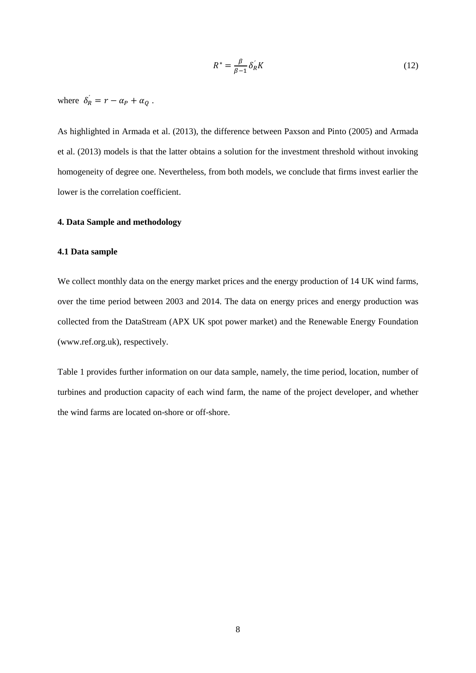$$
R^* = \frac{\beta}{\beta - 1} \delta_R K \tag{12}
$$

where  $\delta_R = r - \alpha_P + \alpha_Q$ .

As highlighted in Armada et al. (2013), the difference between Paxson and Pinto (2005) and Armada et al. (2013) models is that the latter obtains a solution for the investment threshold without invoking homogeneity of degree one. Nevertheless, from both models, we conclude that firms invest earlier the lower is the correlation coefficient.

## **4. Data Sample and methodology**

## **4.1 Data sample**

We collect monthly data on the energy market prices and the energy production of 14 UK wind farms, over the time period between 2003 and 2014. The data on energy prices and energy production was collected from the DataStream (APX UK spot power market) and the Renewable Energy Foundation [\(www.ref.org.uk\),](http://www.ref.org.uk)/) respectively.

Table 1 provides further information on our data sample, namely, the time period, location, number of turbines and production capacity of each wind farm, the name of the project developer, and whether the wind farms are located on-shore or off-shore.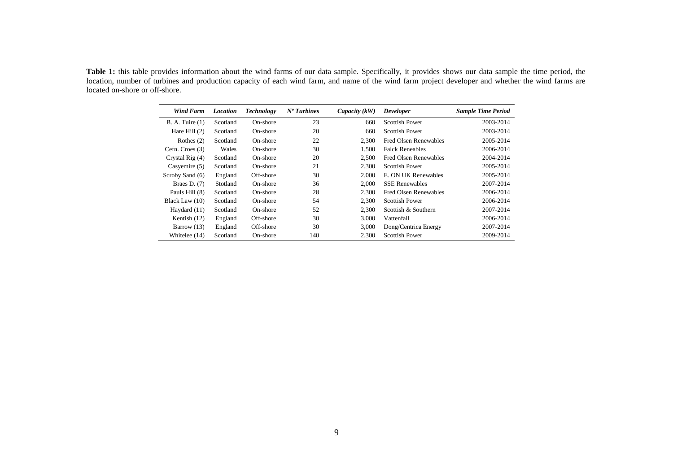**Table 1:** this table provides information about the wind farms of our data sample. Specifically, it provides shows our data sample the time period, the location, number of turbines and production capacity of each wind farm, and name of the wind farm project developer and whether the wind farms are located on-shore or off-shore.

| <b>Wind Farm</b>  | <b>Location</b> | <b>Technology</b> | $No$ Turbines | Capacity $(kW)$ | <b>Developer</b>       | <b>Sample Time Period</b> |
|-------------------|-----------------|-------------------|---------------|-----------------|------------------------|---------------------------|
| B. A. Tuire (1)   | Scotland        | On-shore          | 23            | 660             | <b>Scottish Power</b>  | 2003-2014                 |
| Hare Hill $(2)$   | Scotland        | On-shore          | 20            | 660             | Scottish Power         | 2003-2014                 |
| Rothes $(2)$      | Scotland        | On-shore          | 22            | 2.300           | Fred Olsen Renewables  | 2005-2014                 |
| Cefn. Croes (3)   | Wales           | On-shore          | 30            | 1.500           | <b>Falck Reneables</b> | 2006-2014                 |
| Crystal Rig $(4)$ | Scotland        | On-shore          | 20            | 2.500           | Fred Olsen Renewables  | 2004-2014                 |
| Casyemire (5)     | Scotland        | On-shore          | 21            | 2.300           | Scottish Power         | 2005-2014                 |
| Scroby Sand (6)   | England         | Off-shore         | 30            | 2.000           | E. ON UK Renewables    | 2005-2014                 |
| Braes D. $(7)$    | Stotland        | On-shore          | 36            | 2.000           | <b>SSE Renewables</b>  | 2007-2014                 |
| Pauls Hill (8)    | Scotland        | On-shore          | 28            | 2.300           | Fred Olsen Renewables  | 2006-2014                 |
| Black Law (10)    | Scotland        | On-shore          | 54            | 2.300           | <b>Scottish Power</b>  | 2006-2014                 |
| Haydard (11)      | Scotland        | On-shore          | 52            | 2.300           | Scottish & Southern    | 2007-2014                 |
| Kentish (12)      | England         | Off-shore         | 30            | 3.000           | Vattenfall             | 2006-2014                 |
| Barrow $(13)$     | England         | Off-shore         | 30            | 3,000           | Dong/Centrica Energy   | 2007-2014                 |
| Whitelee (14)     | Scotland        | On-shore          | 140           | 2,300           | <b>Scottish Power</b>  | 2009-2014                 |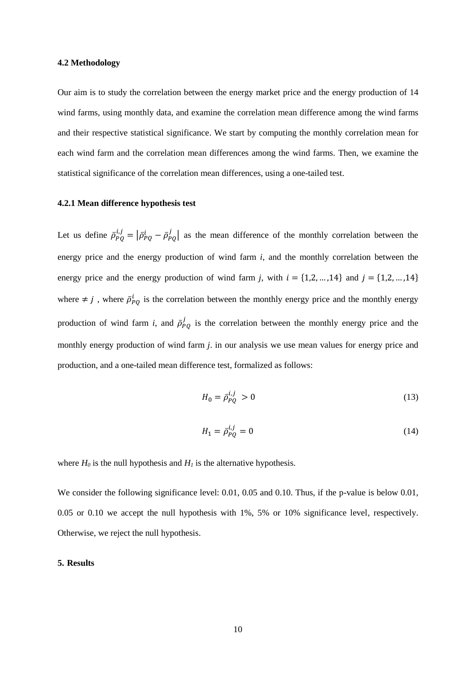### **4.2 Methodology**

Our aim is to study the correlation between the energy market price and the energy production of 14 wind farms, using monthly data, and examine the correlation mean difference among the wind farms and their respective statistical significance. We start by computing the monthly correlation mean for each wind farm and the correlation mean differences among the wind farms. Then, we examine the statistical significance of the correlation mean differences, using a one-tailed test.

### **4.2.1 Mean difference hypothesis test**

Let us define  $\bar{\rho}_{p_0}^{i,j} = |\bar{\rho}_{p_0}^i - \bar{\rho}_{p_0}^j|$  as the mean difference of the monthly correlation between the energy price and the energy production of wind farm *i*, and the monthly correlation between the energy price and the energy production of wind farm *j*, with  $i = \{1, 2, ..., 14\}$  and  $j = \{1, 2, ..., 14\}$ where  $\neq j$ , where  $\bar{\rho}_{PQ}^{i}$  is the correlation between the monthly energy price and the monthly energy production of wind farm *i*, and  $\bar{\rho}_{pQ}^{j}$  is the correlation between the monthly energy price and the monthly energy production of wind farm *j*. in our analysis we use mean values for energy price and production, and a one-tailed mean difference test, formalized as follows:

$$
H_0 = \bar{\rho}_{PO}^{i,j} > 0 \tag{13}
$$

$$
H_1 = \bar{\rho}_{PO}^{i,j} = 0 \tag{14}
$$

where  $H_0$  is the null hypothesis and  $H_1$  is the alternative hypothesis.

We consider the following significance level: 0.01, 0.05 and 0.10. Thus, if the p-value is below 0.01, 0.05 or 0.10 we accept the null hypothesis with 1%, 5% or 10% significance level, respectively. Otherwise, we reject the null hypothesis.

## **5. Results**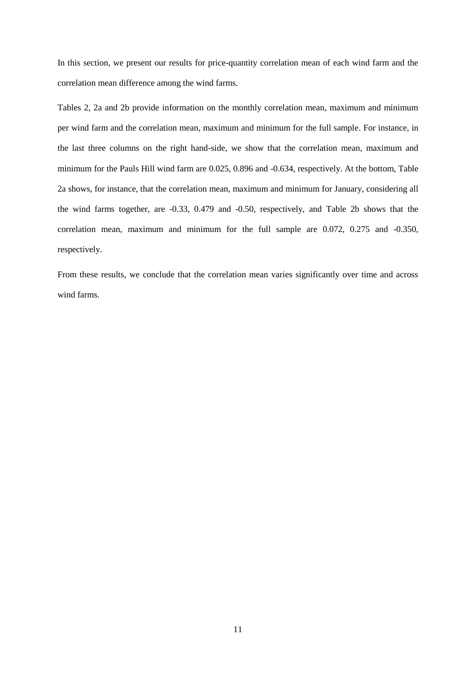In this section, we present our results for price-quantity correlation mean of each wind farm and the correlation mean difference among the wind farms.

Tables 2, 2a and 2b provide information on the monthly correlation mean, maximum and minimum per wind farm and the correlation mean, maximum and minimum for the full sample. For instance, in the last three columns on the right hand-side, we show that the correlation mean, maximum and minimum for the Pauls Hill wind farm are 0.025, 0.896 and -0.634, respectively. At the bottom, Table 2a shows, for instance, that the correlation mean, maximum and minimum for January, considering all the wind farms together, are -0.33, 0.479 and -0.50, respectively, and Table 2b shows that the correlation mean, maximum and minimum for the full sample are 0.072, 0.275 and -0.350, respectively.

From these results, we conclude that the correlation mean varies significantly over time and across wind farms.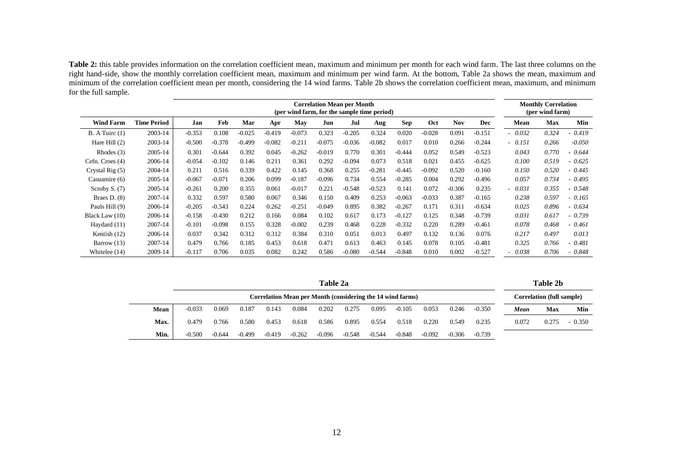**Table 2:** this table provides information on the correlation coefficient mean, maximum and minimum per month for each wind farm. The last three columns on the right hand-side, show the monthly correlation coefficient mean, maximum and minimum per wind farm. At the bottom, Table 2a shows the mean, maximum and minimum of the correlation coefficient mean per month, considering the 14 wind farms. Table 2b shows the correlation coefficient mean, maximum, and minimum for the full sample.

| <b>Correlation Mean per Month</b><br>(per wind farm, for the sample time period) |                    |          |          |          |          |          |          |          |          |          |          | <b>Monthly Correlation</b><br>(per wind farm) |          |          |       |          |
|----------------------------------------------------------------------------------|--------------------|----------|----------|----------|----------|----------|----------|----------|----------|----------|----------|-----------------------------------------------|----------|----------|-------|----------|
| <b>Wind Farm</b>                                                                 | <b>Time Period</b> | Jan      | Feb      | Mar      | Apr      | May      | Jun      | Jul      | Aug      | Sep      | Oct      | <b>Nov</b>                                    | Dec      | Mean     | Max   | Min      |
| B. A Tuirc(1)                                                                    | 2003-14            | $-0.353$ | 0.108    | $-0.025$ | $-0.419$ | $-0.073$ | 0.323    | $-0.205$ | 0.324    | 0.020    | $-0.028$ | 0.091                                         | $-0.151$ | 0.032    | 0.324 | $-0.419$ |
| Hare Hill $(2)$                                                                  | 2003-14            | $-0.500$ | $-0.378$ | $-0.499$ | $-0.082$ | $-0.211$ | $-0.075$ | $-0.036$ | $-0.082$ | 0.017    | 0.010    | 0.266                                         | $-0.244$ | $-0.151$ | 0.266 | $-0.050$ |
| Rhodes $(3)$                                                                     | 2005-14            | 0.301    | $-0.644$ | 0.392    | 0.045    | $-0.262$ | $-0.019$ | 0.770    | 0.301    | $-0.444$ | 0.052    | 0.549                                         | $-0.523$ | 0.043    | 0.770 | - 0.644  |
| Cefn. Croes (4)                                                                  | 2006-14            | $-0.054$ | $-0.102$ | 0.146    | 0.211    | 0.361    | 0.292    | $-0.094$ | 0.073    | 0.518    | 0.021    | 0.455                                         | $-0.625$ | 0.100    | 0.519 | $-0.625$ |
| Crystal Rig (5)                                                                  | 2004-14            | 0.211    | 0.516    | 0.339    | 0.422    | 0.145    | 0.368    | 0.255    | $-0.281$ | $-0.445$ | $-0.092$ | 0.520                                         | $-0.160$ | 0.150    | 0.520 | $-0.445$ |
| Casuamire (6)                                                                    | 2005-14            | $-0.067$ | $-0.071$ | 0.206    | 0.099    | $-0.187$ | $-0.096$ | 0.734    | 0.554    | $-0.285$ | 0.004    | 0.292                                         | $-0.496$ | 0.057    | 0.734 | - 0.495  |
| Scroby S. $(7)$                                                                  | 2005-14            | $-0.261$ | 0.200    | 0.355    | 0.061    | $-0.017$ | 0.221    | $-0.548$ | $-0.523$ | 0.141    | 0.072    | $-0.306$                                      | 0.235    | 0.031    | 0.355 | $-0.548$ |
| Braes $D. (8)$                                                                   | 2007-14            | 0.332    | 0.597    | 0.580    | 0.067    | 0.346    | 0.150    | 0.409    | 0.253    | $-0.063$ | $-0.033$ | 0.387                                         | $-0.165$ | 0.238    | 0.597 | $-0.165$ |
| Pauls Hill (9)                                                                   | 2006-14            | $-0.205$ | $-0.543$ | 0.224    | 0.262    | $-0.251$ | $-0.049$ | 0.895    | 0.382    | $-0.267$ | 0.171    | 0.311                                         | $-0.634$ | 0.025    | 0.896 | $-0.634$ |
| Black Law (10)                                                                   | 2006-14            | $-0.158$ | $-0.430$ | 0.212    | 0.166    | 0.084    | 0.102    | 0.617    | 0.173    | $-0.127$ | 0.125    | 0.348                                         | $-0.739$ | 0.031    | 0.617 | $-0.739$ |
| Haydard (11)                                                                     | 2007-14            | $-0.101$ | $-0.098$ | 0.155    | 0.328    | $-0.002$ | 0.239    | 0.468    | 0.228    | $-0.332$ | 0.220    | 0.289                                         | $-0.461$ | 0.078    | 0.468 | $-0.461$ |
| Kentish (12)                                                                     | 2006-14            | 0.037    | 0.342    | 0.312    | 0.312    | 0.384    | 0.310    | 0.051    | 0.013    | 0.497    | 0.132    | 0.136                                         | 0.076    | 0.217    | 0.497 | 0.013    |
| Barrow (13)                                                                      | 2007-14            | 0.479    | 0.766    | 0.185    | 0.453    | 0.618    | 0.471    | 0.613    | 0.463    | 0.145    | 0.078    | 0.105                                         | $-0.481$ | 0.325    | 0.766 | $-0.481$ |
| Whitelee (14)                                                                    | 2009-14            | $-0.117$ | 0.706    | 0.035    | 0.082    | 0.242    | 0.586    | $-0.080$ | $-0.544$ | $-0.848$ | 0.010    | 0.002                                         | $-0.527$ | 0.038    | 0.706 | 0.848    |

|  |  |  |  | Table 2a |
|--|--|--|--|----------|
|--|--|--|--|----------|

### **Table 2a Table 2b**

| Correlation Mean per Month (considering the 14 wind farms) |          |          |          |          |          |          |          |          |          |          |          |          | Correlation (full sample) |       |          |
|------------------------------------------------------------|----------|----------|----------|----------|----------|----------|----------|----------|----------|----------|----------|----------|---------------------------|-------|----------|
| Mean                                                       | $-0.033$ | 0.069    | 0.187    | 0.143    | 0.084    | 0.202    | 0.275    | 0.095    | $-0.105$ | 0.053    | 0.246    | $-0.350$ | Mean                      | Max   | Min      |
| Max.                                                       | 0.479    | 0.766    | 0.580    | 0.453    | 0.618    | 0.586    | 0.895    | 0.554    | 0.518    | 0.220    | 0.549    | 0.235    | 0.072                     | 0.275 | $-0.350$ |
| Min.                                                       | $-0.500$ | $-0.644$ | $-0.499$ | $-0.419$ | $-0.262$ | $-0.096$ | $-0.548$ | $-0.544$ | $-0.848$ | $-0.092$ | $-0.306$ | $-0.739$ |                           |       |          |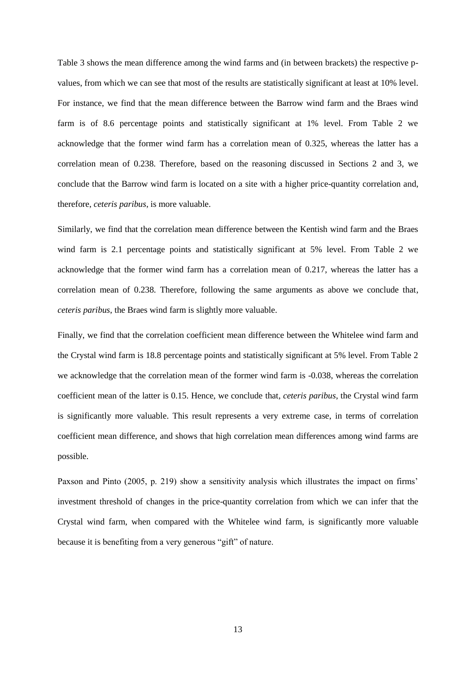Table 3 shows the mean difference among the wind farms and (in between brackets) the respective pvalues, from which we can see that most of the results are statistically significant at least at 10% level. For instance, we find that the mean difference between the Barrow wind farm and the Braes wind farm is of 8.6 percentage points and statistically significant at 1% level. From Table 2 we acknowledge that the former wind farm has a correlation mean of 0.325, whereas the latter has a correlation mean of 0.238. Therefore, based on the reasoning discussed in Sections 2 and 3, we conclude that the Barrow wind farm is located on a site with a higher price-quantity correlation and, therefore, *ceteris paribus*, is more valuable.

Similarly, we find that the correlation mean difference between the Kentish wind farm and the Braes wind farm is 2.1 percentage points and statistically significant at 5% level. From Table 2 we acknowledge that the former wind farm has a correlation mean of 0.217, whereas the latter has a correlation mean of 0.238. Therefore, following the same arguments as above we conclude that, *ceteris paribus*, the Braes wind farm is slightly more valuable.

Finally, we find that the correlation coefficient mean difference between the Whitelee wind farm and the Crystal wind farm is 18.8 percentage points and statistically significant at 5% level. From Table 2 we acknowledge that the correlation mean of the former wind farm is -0.038, whereas the correlation coefficient mean of the latter is 0.15. Hence, we conclude that, *ceteris paribus*, the Crystal wind farm is significantly more valuable. This result represents a very extreme case, in terms of correlation coefficient mean difference, and shows that high correlation mean differences among wind farms are possible.

Paxson and Pinto (2005, p. 219) show a sensitivity analysis which illustrates the impact on firms' investment threshold of changes in the price-quantity correlation from which we can infer that the Crystal wind farm, when compared with the Whitelee wind farm, is significantly more valuable because it is benefiting from a very generous "gift" of nature.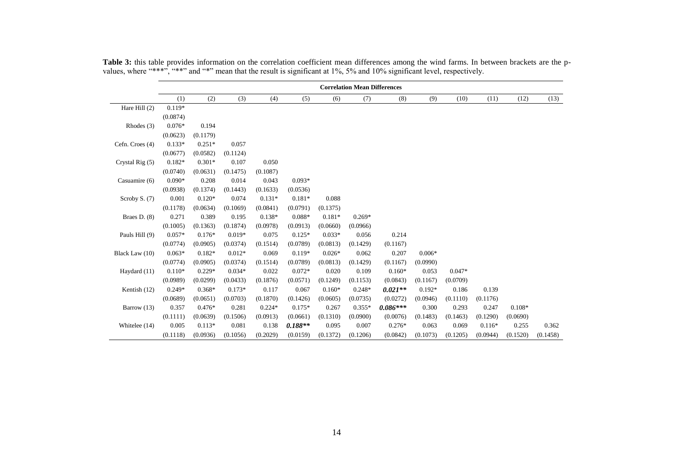|                   | <b>Correlation Mean Differences</b> |          |          |          |           |          |          |            |          |          |          |          |          |
|-------------------|-------------------------------------|----------|----------|----------|-----------|----------|----------|------------|----------|----------|----------|----------|----------|
|                   | (1)                                 | (2)      | (3)      | (4)      | (5)       | (6)      | (7)      | (8)        | (9)      | (10)     | (11)     | (12)     | (13)     |
| Hare Hill (2)     | $0.119*$                            |          |          |          |           |          |          |            |          |          |          |          |          |
|                   | (0.0874)                            |          |          |          |           |          |          |            |          |          |          |          |          |
| Rhodes $(3)$      | $0.076*$                            | 0.194    |          |          |           |          |          |            |          |          |          |          |          |
|                   | (0.0623)                            | (0.1179) |          |          |           |          |          |            |          |          |          |          |          |
| Cefn. Croes (4)   | $0.133*$                            | $0.251*$ | 0.057    |          |           |          |          |            |          |          |          |          |          |
|                   | (0.0677)                            | (0.0582) | (0.1124) |          |           |          |          |            |          |          |          |          |          |
| Crystal Rig $(5)$ | $0.182*$                            | $0.301*$ | 0.107    | 0.050    |           |          |          |            |          |          |          |          |          |
|                   | (0.0740)                            | (0.0631) | (0.1475) | (0.1087) |           |          |          |            |          |          |          |          |          |
| Casuamire (6)     | $0.090*$                            | 0.208    | 0.014    | 0.043    | $0.093*$  |          |          |            |          |          |          |          |          |
|                   | (0.0938)                            | (0.1374) | (0.1443) | (0.1633) | (0.0536)  |          |          |            |          |          |          |          |          |
| Scroby S. (7)     | 0.001                               | $0.120*$ | 0.074    | $0.131*$ | $0.181*$  | 0.088    |          |            |          |          |          |          |          |
|                   | (0.1178)                            | (0.0634) | (0.1069) | (0.0841) | (0.0791)  | (0.1375) |          |            |          |          |          |          |          |
| Braes $D. (8)$    | 0.271                               | 0.389    | 0.195    | 0.138*   | $0.088*$  | $0.181*$ | $0.269*$ |            |          |          |          |          |          |
|                   | (0.1005)                            | (0.1363) | (0.1874) | (0.0978) | (0.0913)  | (0.0660) | (0.0966) |            |          |          |          |          |          |
| Pauls Hill (9)    | $0.057*$                            | $0.176*$ | $0.019*$ | 0.075    | $0.125*$  | $0.033*$ | 0.056    | 0.214      |          |          |          |          |          |
|                   | (0.0774)                            | (0.0905) | (0.0374) | (0.1514) | (0.0789)  | (0.0813) | (0.1429) | (0.1167)   |          |          |          |          |          |
| Black Law (10)    | $0.063*$                            | $0.182*$ | $0.012*$ | 0.069    | $0.119*$  | $0.026*$ | 0.062    | 0.207      | $0.006*$ |          |          |          |          |
|                   | (0.0774)                            | (0.0905) | (0.0374) | (0.1514) | (0.0789)  | (0.0813) | (0.1429) | (0.1167)   | (0.0990) |          |          |          |          |
| Haydard (11)      | $0.110*$                            | $0.229*$ | $0.034*$ | 0.022    | $0.072*$  | 0.020    | 0.109    | $0.160*$   | 0.053    | $0.047*$ |          |          |          |
|                   | (0.0989)                            | (0.0299) | (0.0433) | (0.1876) | (0.0571)  | (0.1249) | (0.1153) | (0.0843)   | (0.1167) | (0.0709) |          |          |          |
| Kentish (12)      | $0.249*$                            | $0.368*$ | $0.173*$ | 0.117    | 0.067     | $0.160*$ | $0.248*$ | $0.021**$  | $0.192*$ | 0.186    | 0.139    |          |          |
|                   | (0.0689)                            | (0.0651) | (0.0703) | (0.1870) | (0.1426)  | (0.0605) | (0.0735) | (0.0272)   | (0.0946) | (0.1110) | (0.1176) |          |          |
| Barrow $(13)$     | 0.357                               | $0.476*$ | 0.281    | $0.224*$ | $0.175*$  | 0.267    | $0.355*$ | $0.086***$ | 0.300    | 0.293    | 0.247    | $0.108*$ |          |
|                   | (0.1111)                            | (0.0639) | (0.1506) | (0.0913) | (0.0661)  | (0.1310) | (0.0900) | (0.0076)   | (0.1483) | (0.1463) | (0.1290) | (0.0690) |          |
| Whitelee (14)     | 0.005                               | $0.113*$ | 0.081    | 0.138    | $0.188**$ | 0.095    | 0.007    | $0.276*$   | 0.063    | 0.069    | $0.116*$ | 0.255    | 0.362    |
|                   | (0.1118)                            | (0.0936) | (0.1056) | (0.2029) | (0.0159)  | (0.1372) | (0.1206) | (0.0842)   | (0.1073) | (0.1205) | (0.0944) | (0.1520) | (0.1458) |

**Table 3:** this table provides information on the correlation coefficient mean differences among the wind farms. In between brackets are the pvalues, where "\*\*\*", "\*\*" and "\*" mean that the result is significant at 1%, 5% and 10% significant level, respectively.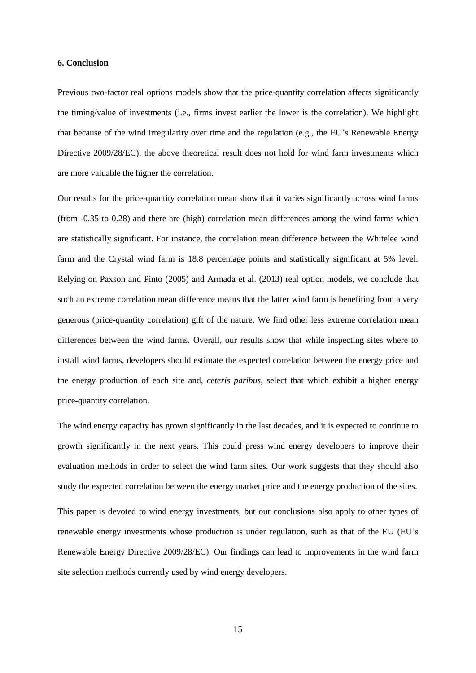### **6. Conclusion**

Previous two-factor real options models show that the price-quantity correlation affects significantly the timing/value of investments (i.e., firms invest earlier the lower is the correlation). We highlight that because of the wind irregularity over time and the regulation (e.g., the EU's Renewable Energy Directive 2009/28/EC), the above theoretical result does not hold for wind farm investments which are more valuable the higher the correlation.

Our results for the price-quantity correlation mean show that it varies significantly across wind farms (from -0.35 to 0.28) and there are (high) correlation mean differences among the wind farms which are statistically significant. For instance, the correlation mean difference between the Whitelee wind farm and the Crystal wind farm is 18.8 percentage points and statistically significant at 5% level. Relying on Paxson and Pinto (2005) and Armada et al. (2013) real option models, we conclude that such an extreme correlation mean difference means that the latter wind farm is benefiting from a very generous (price-quantity correlation) gift of the nature. We find other less extreme correlation mean differences between the wind farms. Overall, our results show that while inspecting sites where to install wind farms, developers should estimate the expected correlation between the energy price and the energy production of each site and, *ceteris paribus*, select that which exhibit a higher energy price-quantity correlation.

The wind energy capacity has grown significantly in the last decades, and it is expected to continue to growth significantly in the next years. This could press wind energy developers to improve their evaluation methods in order to select the wind farm sites. Our work suggests that they should also study the expected correlation between the energy market price and the energy production of the sites.

This paper is devoted to wind energy investments, but our conclusions also apply to other types of renewable energy investments whose production is under regulation, such as that of the EU (EU's Renewable Energy Directive 2009/28/EC). Our findings can lead to improvements in the wind farm site selection methods currently used by wind energy developers.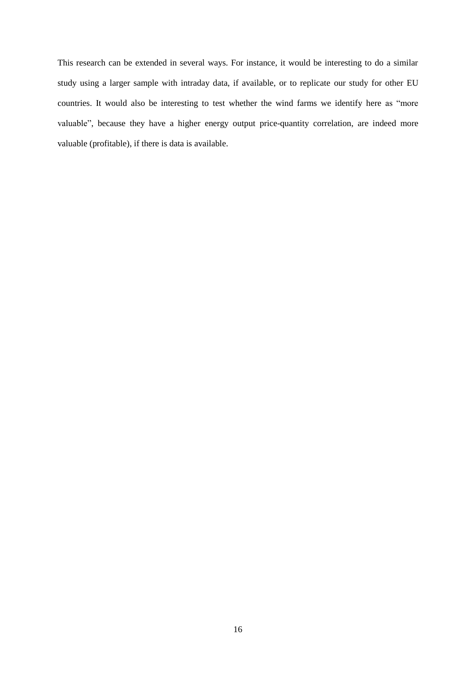This research can be extended in several ways. For instance, it would be interesting to do a similar study using a larger sample with intraday data, if available, or to replicate our study for other EU countries. It would also be interesting to test whether the wind farms we identify here as "more valuable", because they have a higher energy output price-quantity correlation, are indeed more valuable (profitable), if there is data is available.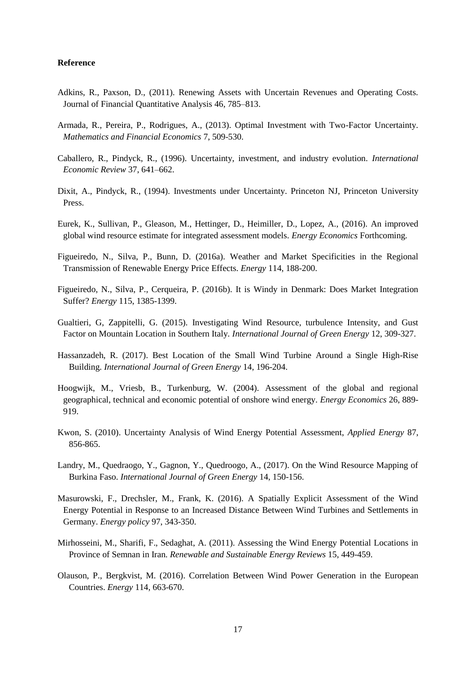## **Reference**

- Adkins, R., Paxson, D., (2011). Renewing Assets with Uncertain Revenues and Operating Costs. Journal of Financial Quantitative Analysis 46, 785–813.
- Armada, R., Pereira, P., Rodrigues, A., (2013). Optimal Investment with Two-Factor Uncertainty. *Mathematics and Financial Economics* 7, 509-530.
- Caballero, R., Pindyck, R., (1996). Uncertainty, investment, and industry evolution. *International Economic Review* 37, 641–662.
- Dixit, A., Pindyck, R., (1994). Investments under Uncertainty. Princeton NJ, Princeton University Press.
- Eurek, K., Sullivan, P., Gleason, M., Hettinger, D., Heimiller, D., Lopez, A., (2016). An improved global wind resource estimate for integrated assessment models. *Energy Economics* Forthcoming.
- Figueiredo, N., Silva, P., Bunn, D. (2016a). Weather and Market Specificities in the Regional Transmission of Renewable Energy Price Effects. *Energy* 114, 188-200.
- Figueiredo, N., Silva, P., Cerqueira, P. (2016b). It is Windy in Denmark: Does Market Integration Suffer? *Energy* 115, 1385-1399.
- Gualtieri, G, Zappitelli, G. (2015). Investigating Wind Resource, turbulence Intensity, and Gust Factor on Mountain Location in Southern Italy*. International Journal of Green Energy* 12, 309-327.
- Hassanzadeh, R. (2017). Best Location of the Small Wind Turbine Around a Single High-Rise Building. *International Journal of Green Energy* 14, 196-204.
- Hoogwijk, M., Vriesb, B., Turkenburg, W. (2004). Assessment of the global and regional geographical, technical and economic potential of onshore wind energy. *Energy Economics* 26, 889- 919.
- Kwon, S. (2010). Uncertainty Analysis of Wind Energy Potential Assessment, *Applied Energy* 87, 856-865.
- Landry, M., Quedraogo, Y., Gagnon, Y., Quedroogo, A., (2017). On the Wind Resource Mapping of Burkina Faso. *International Journal of Green Energy* 14, 150-156.
- Masurowski, F., Drechsler, M., Frank, K. (2016). A Spatially Explicit Assessment of the Wind Energy Potential in Response to an Increased Distance Between Wind Turbines and Settlements in Germany. *Energy policy* 97, 343-350.
- Mirhosseini, M., Sharifi, F., Sedaghat, A. (2011). Assessing the Wind Energy Potential Locations in Province of Semnan in Iran. *Renewable and Sustainable Energy Reviews* 15, 449-459.
- Olauson, P., Bergkvist, M. (2016). Correlation Between Wind Power Generation in the European Countries. *Energy* 114, 663-670.